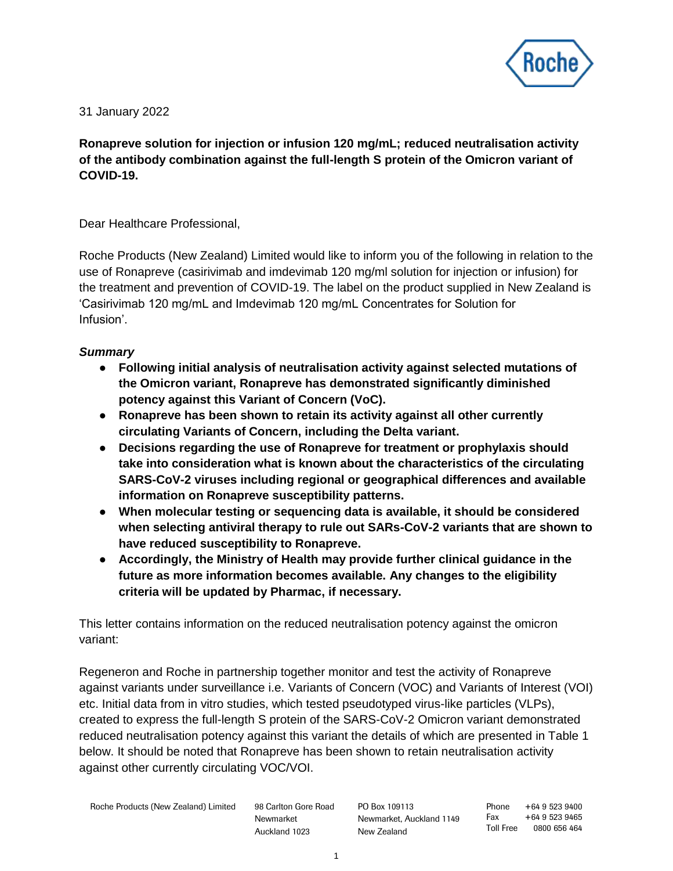

31 January 2022

**Ronapreve solution for injection or infusion 120 mg/mL; reduced neutralisation activity of the antibody combination against the full-length S protein of the Omicron variant of COVID-19.**

Dear Healthcare Professional,

Roche Products (New Zealand) Limited would like to inform you of the following in relation to the use of Ronapreve (casirivimab and imdevimab 120 mg/ml solution for injection or infusion) for the treatment and prevention of COVID-19. The label on the product supplied in New Zealand is 'Casirivimab 120 mg/mL and Imdevimab 120 mg/mL Concentrates for Solution for Infusion'.

## *Summary*

- **Following initial analysis of neutralisation activity against selected mutations of the Omicron variant, Ronapreve has demonstrated significantly diminished potency against this Variant of Concern (VoC).**
- **Ronapreve has been shown to retain its activity against all other currently circulating Variants of Concern, including the Delta variant.**
- **Decisions regarding the use of Ronapreve for treatment or prophylaxis should take into consideration what is known about the characteristics of the circulating SARS-CoV-2 viruses including regional or geographical differences and available information on Ronapreve susceptibility patterns.**
- **When molecular testing or sequencing data is available, it should be considered when selecting antiviral therapy to rule out SARs-CoV-2 variants that are shown to have reduced susceptibility to Ronapreve.**
- **Accordingly, the Ministry of Health may provide further clinical guidance in the future as more information becomes available. Any changes to the eligibility criteria will be updated by Pharmac, if necessary.**

This letter contains information on the reduced neutralisation potency against the omicron variant:

Regeneron and Roche in partnership together monitor and test the activity of Ronapreve against variants under surveillance i.e. Variants of Concern (VOC) and Variants of Interest (VOI) etc. Initial data from in vitro studies, which tested pseudotyped virus-like particles (VLPs), created to express the full-length S protein of the SARS-CoV-2 Omicron variant demonstrated reduced neutralisation potency against this variant the details of which are presented in Table 1 below. It should be noted that Ronapreve has been shown to retain neutralisation activity against other currently circulating VOC/VOI.

Newmarket Auckland 1023 PO Box 109113 Newmarket, Auckland 1149 New Zealand

Phone +64 9 523 9400 Fax +64 9 523 9465 Toll Free 0800 656 464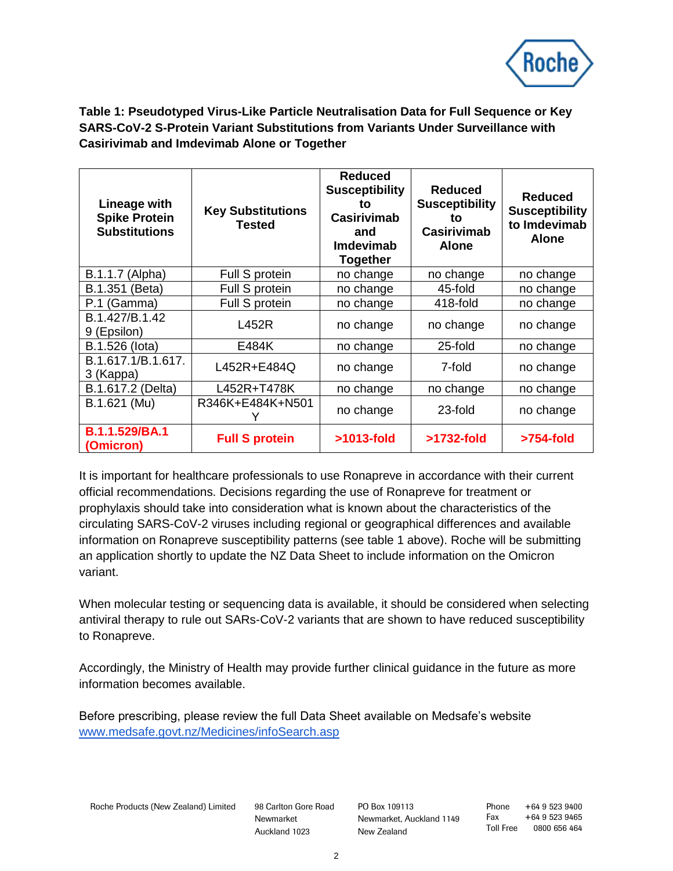

**Table 1: Pseudotyped Virus-Like Particle Neutralisation Data for Full Sequence or Key SARS-CoV-2 S-Protein Variant Substitutions from Variants Under Surveillance with Casirivimab and Imdevimab Alone or Together**

| Lineage with<br><b>Spike Protein</b><br><b>Substitutions</b> | <b>Key Substitutions</b><br><b>Tested</b> | <b>Reduced</b><br><b>Susceptibility</b><br>to<br><b>Casirivimab</b><br>and<br>Imdevimab<br><b>Together</b> | <b>Reduced</b><br><b>Susceptibility</b><br>to<br><b>Casirivimab</b><br><b>Alone</b> | <b>Reduced</b><br><b>Susceptibility</b><br>to Imdevimab<br><b>Alone</b> |
|--------------------------------------------------------------|-------------------------------------------|------------------------------------------------------------------------------------------------------------|-------------------------------------------------------------------------------------|-------------------------------------------------------------------------|
| (Alpha)<br>B.1.1.7                                           | Full S protein                            | no change                                                                                                  | no change                                                                           | no change                                                               |
| B.1.351 (Beta)                                               | Full S protein                            | no change                                                                                                  | 45-fold                                                                             | no change                                                               |
| P.1 (Gamma)                                                  | Full S protein                            | no change                                                                                                  | 418-fold                                                                            | no change                                                               |
| B.1.427/B.1.42<br>9 (Epsilon)                                | L452R                                     | no change                                                                                                  | no change                                                                           | no change                                                               |
| B.1.526 (lota)                                               | E484K                                     | no change                                                                                                  | 25-fold                                                                             | no change                                                               |
| B.1.617.1/B.1.617.<br>3 (Kappa)                              | L452R+E484Q                               | no change                                                                                                  | 7-fold                                                                              | no change                                                               |
| B.1.617.2 (Delta)                                            | L452R+T478K                               | no change                                                                                                  | no change                                                                           | no change                                                               |
| B.1.621 (Mu)                                                 | R346K+E484K+N501                          | no change                                                                                                  | 23-fold                                                                             | no change                                                               |
| <b>B.1.1.529/BA.1</b><br>(Omicron)                           | <b>Full S protein</b>                     | $>1013$ -fold                                                                                              | >1732-fold                                                                          | >754-fold                                                               |

It is important for healthcare professionals to use Ronapreve in accordance with their current official recommendations. Decisions regarding the use of Ronapreve for treatment or prophylaxis should take into consideration what is known about the characteristics of the circulating SARS-CoV-2 viruses including regional or geographical differences and available information on Ronapreve susceptibility patterns (see table 1 above). Roche will be submitting an application shortly to update the NZ Data Sheet to include information on the Omicron variant.

When molecular testing or sequencing data is available, it should be considered when selecting antiviral therapy to rule out SARs-CoV-2 variants that are shown to have reduced susceptibility to Ronapreve.

Accordingly, the Ministry of Health may provide further clinical guidance in the future as more information becomes available.

Before prescribing, please review the full Data Sheet available on Medsafe's website [www.medsafe.govt.nz/Medicines/infoSearch.asp](https://www.medsafe.govt.nz/Medicines/infoSearch.asp)

Roche Products (New Zealand) Limited 98 Carlton Gore Road

Newmarket Auckland 1023

PO Box 109113 Newmarket, Auckland 1149 New Zealand

Phone +64 9 523 9400 Fax +64 9 523 9465 Toll Free 0800 656 464